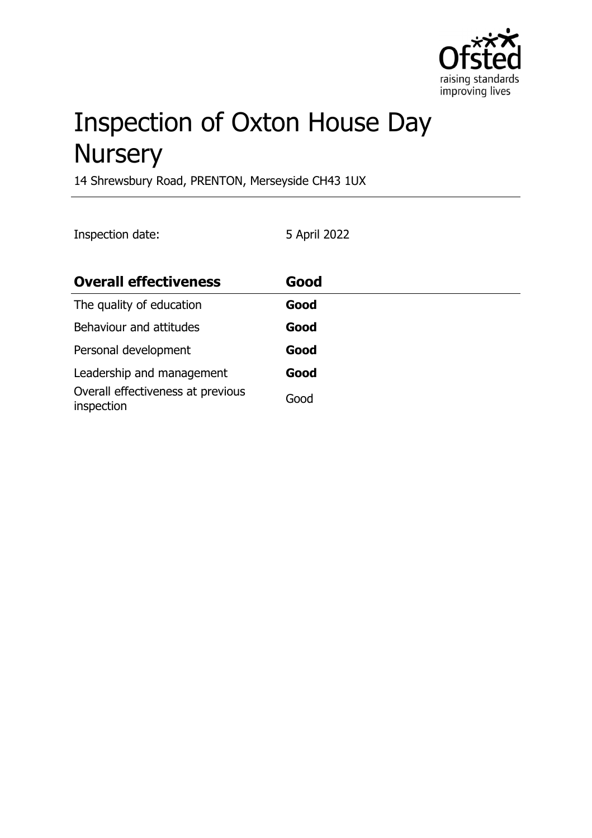

# Inspection of Oxton House Day **Nursery**

14 Shrewsbury Road, PRENTON, Merseyside CH43 1UX

Inspection date: 5 April 2022

| <b>Overall effectiveness</b>                    | Good |
|-------------------------------------------------|------|
| The quality of education                        | Good |
| Behaviour and attitudes                         | Good |
| Personal development                            | Good |
| Leadership and management                       | Good |
| Overall effectiveness at previous<br>inspection | Good |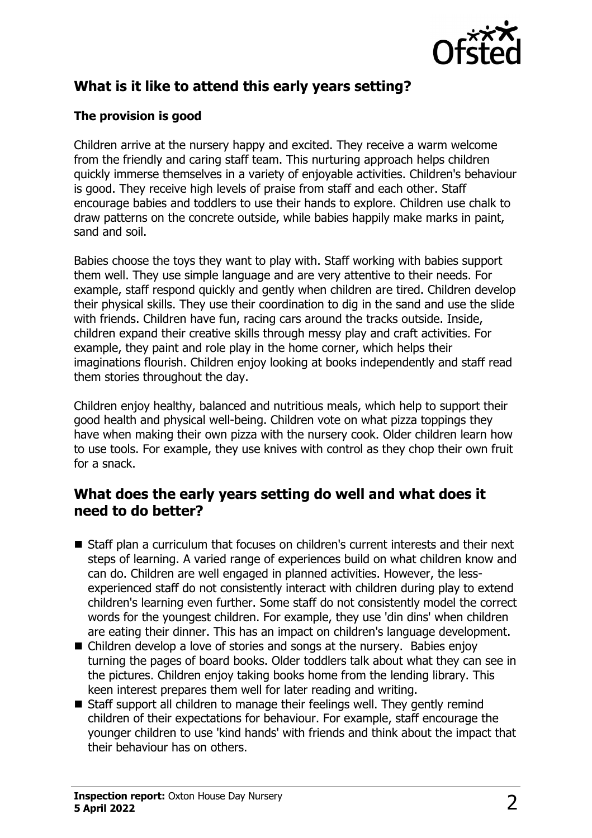

# **What is it like to attend this early years setting?**

### **The provision is good**

Children arrive at the nursery happy and excited. They receive a warm welcome from the friendly and caring staff team. This nurturing approach helps children quickly immerse themselves in a variety of enjoyable activities. Children's behaviour is good. They receive high levels of praise from staff and each other. Staff encourage babies and toddlers to use their hands to explore. Children use chalk to draw patterns on the concrete outside, while babies happily make marks in paint, sand and soil.

Babies choose the toys they want to play with. Staff working with babies support them well. They use simple language and are very attentive to their needs. For example, staff respond quickly and gently when children are tired. Children develop their physical skills. They use their coordination to dig in the sand and use the slide with friends. Children have fun, racing cars around the tracks outside. Inside, children expand their creative skills through messy play and craft activities. For example, they paint and role play in the home corner, which helps their imaginations flourish. Children enjoy looking at books independently and staff read them stories throughout the day.

Children enjoy healthy, balanced and nutritious meals, which help to support their good health and physical well-being. Children vote on what pizza toppings they have when making their own pizza with the nursery cook. Older children learn how to use tools. For example, they use knives with control as they chop their own fruit for a snack.

## **What does the early years setting do well and what does it need to do better?**

- Staff plan a curriculum that focuses on children's current interests and their next steps of learning. A varied range of experiences build on what children know and can do. Children are well engaged in planned activities. However, the lessexperienced staff do not consistently interact with children during play to extend children's learning even further. Some staff do not consistently model the correct words for the youngest children. For example, they use 'din dins' when children are eating their dinner. This has an impact on children's language development.
- $\blacksquare$  Children develop a love of stories and songs at the nursery. Babies enjoy turning the pages of board books. Older toddlers talk about what they can see in the pictures. Children enjoy taking books home from the lending library. This keen interest prepares them well for later reading and writing.
- $\blacksquare$  Staff support all children to manage their feelings well. They gently remind children of their expectations for behaviour. For example, staff encourage the younger children to use 'kind hands' with friends and think about the impact that their behaviour has on others.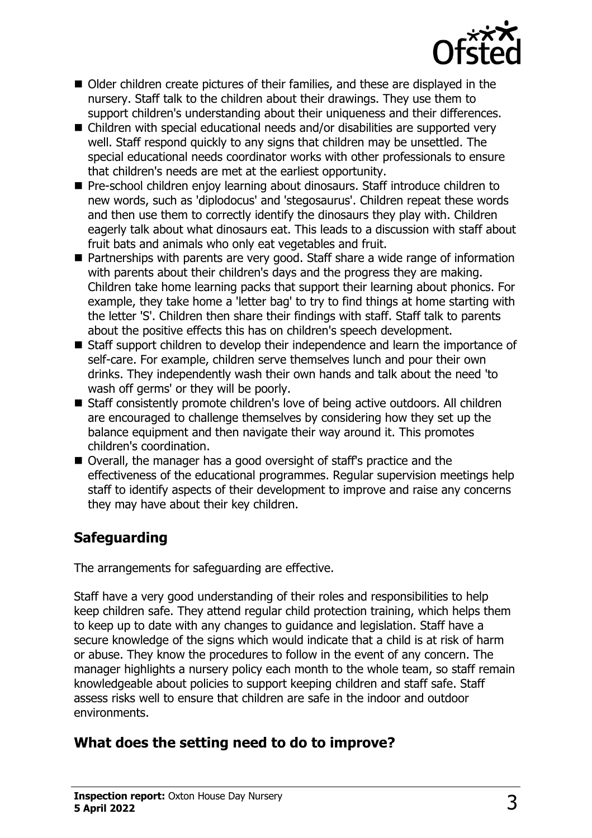

- Older children create pictures of their families, and these are displayed in the nursery. Staff talk to the children about their drawings. They use them to support children's understanding about their uniqueness and their differences.
- $\blacksquare$  Children with special educational needs and/or disabilities are supported very well. Staff respond quickly to any signs that children may be unsettled. The special educational needs coordinator works with other professionals to ensure that children's needs are met at the earliest opportunity.
- Pre-school children enjoy learning about dinosaurs. Staff introduce children to new words, such as 'diplodocus' and 'stegosaurus'. Children repeat these words and then use them to correctly identify the dinosaurs they play with. Children eagerly talk about what dinosaurs eat. This leads to a discussion with staff about fruit bats and animals who only eat vegetables and fruit.
- Partnerships with parents are very good. Staff share a wide range of information with parents about their children's days and the progress they are making. Children take home learning packs that support their learning about phonics. For example, they take home a 'letter bag' to try to find things at home starting with the letter 'S'. Children then share their findings with staff. Staff talk to parents about the positive effects this has on children's speech development.
- Staff support children to develop their independence and learn the importance of self-care. For example, children serve themselves lunch and pour their own drinks. They independently wash their own hands and talk about the need 'to wash off germs' or they will be poorly.
- Staff consistently promote children's love of being active outdoors. All children are encouraged to challenge themselves by considering how they set up the balance equipment and then navigate their way around it. This promotes children's coordination.
- Overall, the manager has a good oversight of staff's practice and the effectiveness of the educational programmes. Regular supervision meetings help staff to identify aspects of their development to improve and raise any concerns they may have about their key children.

# **Safeguarding**

The arrangements for safeguarding are effective.

Staff have a very good understanding of their roles and responsibilities to help keep children safe. They attend regular child protection training, which helps them to keep up to date with any changes to guidance and legislation. Staff have a secure knowledge of the signs which would indicate that a child is at risk of harm or abuse. They know the procedures to follow in the event of any concern. The manager highlights a nursery policy each month to the whole team, so staff remain knowledgeable about policies to support keeping children and staff safe. Staff assess risks well to ensure that children are safe in the indoor and outdoor environments.

# **What does the setting need to do to improve?**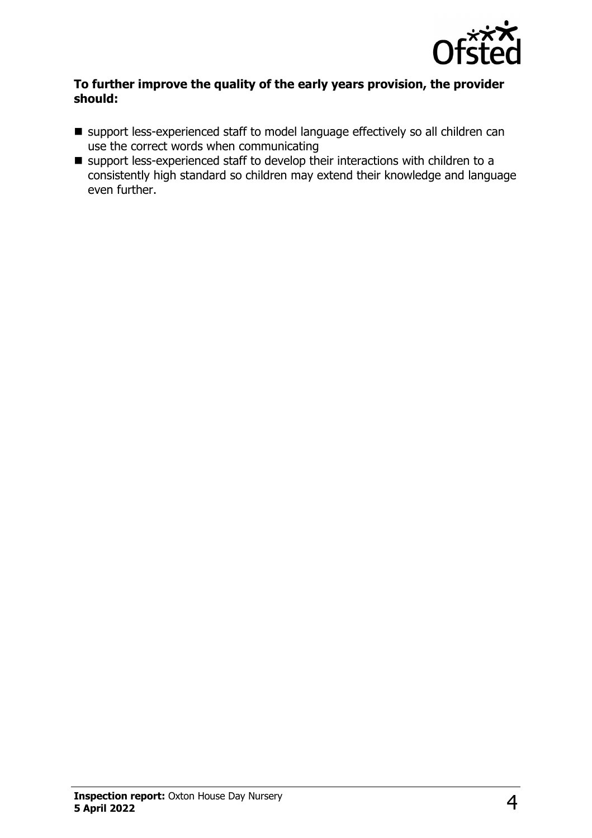

#### **To further improve the quality of the early years provision, the provider should:**

- support less-experienced staff to model language effectively so all children can use the correct words when communicating
- $\blacksquare$  support less-experienced staff to develop their interactions with children to a consistently high standard so children may extend their knowledge and language even further.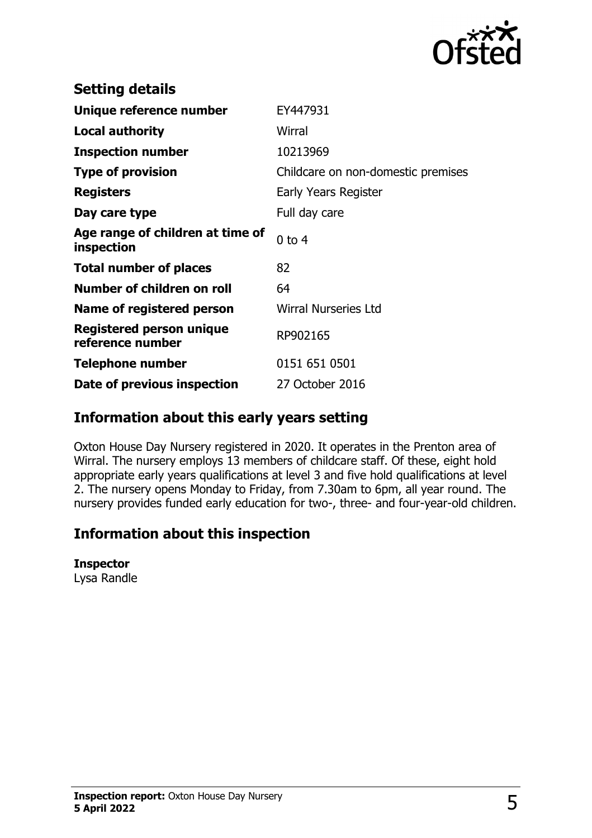

| EY447931                           |
|------------------------------------|
| Wirral                             |
| 10213969                           |
| Childcare on non-domestic premises |
| Early Years Register               |
| Full day care                      |
| $0$ to $4$                         |
| 82                                 |
| 64                                 |
| <b>Wirral Nurseries Ltd</b>        |
| RP902165                           |
| 0151 651 0501                      |
| 27 October 2016                    |
|                                    |

## **Information about this early years setting**

Oxton House Day Nursery registered in 2020. It operates in the Prenton area of Wirral. The nursery employs 13 members of childcare staff. Of these, eight hold appropriate early years qualifications at level 3 and five hold qualifications at level 2. The nursery opens Monday to Friday, from 7.30am to 6pm, all year round. The nursery provides funded early education for two-, three- and four-year-old children.

## **Information about this inspection**

#### **Inspector**

Lysa Randle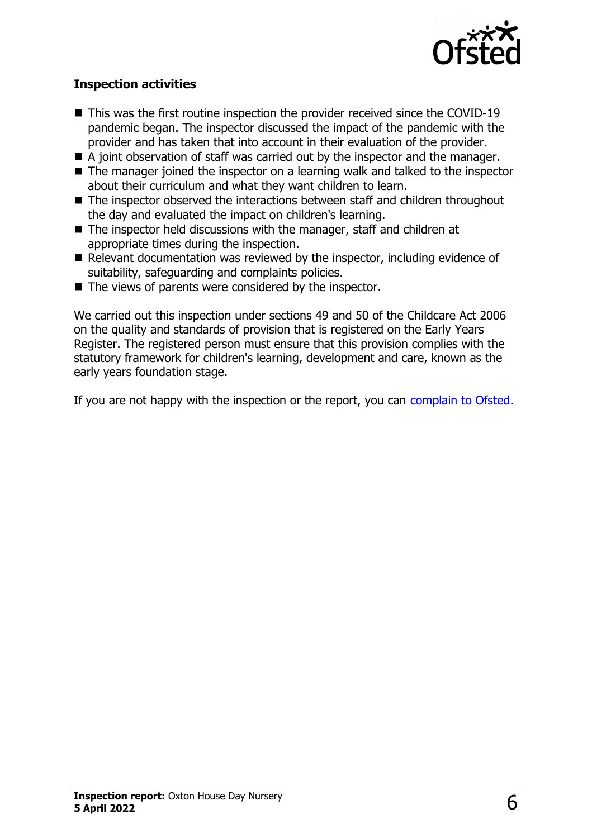

#### **Inspection activities**

- $\blacksquare$  This was the first routine inspection the provider received since the COVID-19 pandemic began. The inspector discussed the impact of the pandemic with the provider and has taken that into account in their evaluation of the provider.
- $\blacksquare$  A joint observation of staff was carried out by the inspector and the manager.
- $\blacksquare$  The manager joined the inspector on a learning walk and talked to the inspector about their curriculum and what they want children to learn.
- $\blacksquare$  The inspector observed the interactions between staff and children throughout the day and evaluated the impact on children's learning.
- $\blacksquare$  The inspector held discussions with the manager, staff and children at appropriate times during the inspection.
- $\blacksquare$  Relevant documentation was reviewed by the inspector, including evidence of suitability, safeguarding and complaints policies.
- $\blacksquare$  The views of parents were considered by the inspector.

We carried out this inspection under sections 49 and 50 of the Childcare Act 2006 on the quality and standards of provision that is registered on the Early Years Register. The registered person must ensure that this provision complies with the statutory framework for children's learning, development and care, known as the early years foundation stage.

If you are not happy with the inspection or the report, you can [complain to Ofsted](http://www.gov.uk/complain-ofsted-report).